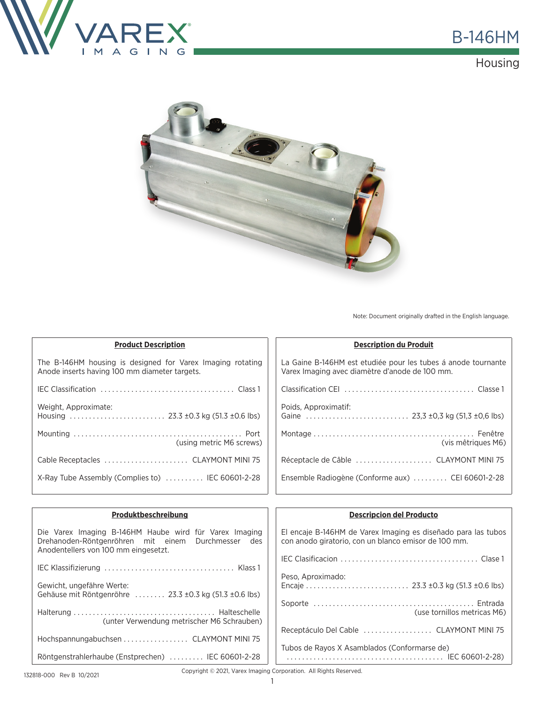

**Housing** 



Note: Document originally drafted in the English language.

| <b>Product Description</b>                                                                                  | <b>Description du Produit</b>                                                                                   |
|-------------------------------------------------------------------------------------------------------------|-----------------------------------------------------------------------------------------------------------------|
| The B-146HM housing is designed for Varex Imaging rotating<br>Anode inserts having 100 mm diameter targets. | La Gaine B-146HM est etudiée pour les tubes à anode tournante<br>Varex Imaging avec diamètre d'anode de 100 mm. |
|                                                                                                             |                                                                                                                 |
| Weight, Approximate:                                                                                        | Poids, Approximatif:                                                                                            |
| (using metric M6 screws)                                                                                    | (vis mêtriques M6)                                                                                              |
|                                                                                                             | Réceptacle de Câble  CLAYMONT MINI 75                                                                           |
| X-Ray Tube Assembly (Complies to)  IEC 60601-2-28                                                           | Ensemble Radiogène (Conforme aux)  CEI 60601-2-28                                                               |
|                                                                                                             |                                                                                                                 |

| Produktbeschreibung                                                                                                                                  | <b>Descripcion del Producto</b>                                                                                       |
|------------------------------------------------------------------------------------------------------------------------------------------------------|-----------------------------------------------------------------------------------------------------------------------|
| Die Varex Imaging B-146HM Haube wird für Varex Imaging<br>Drehanoden-Röntgenröhren mit einem Durchmesser des<br>Anodentellers von 100 mm eingesetzt. | El encaje B-146HM de Varex Imaging es diseñado para las tubos<br>con anodo giratorio, con un blanco emisor de 100 mm. |
|                                                                                                                                                      |                                                                                                                       |
|                                                                                                                                                      |                                                                                                                       |
| Gewicht, ungefähre Werte:<br>Gehäuse mit Röntgenröhre  23.3 ±0.3 kg (51.3 ±0.6 lbs)                                                                  | Peso, Aproximado:                                                                                                     |
|                                                                                                                                                      |                                                                                                                       |
| (unter Verwendung metrischer M6 Schrauben)                                                                                                           | (use tornillos metricas M6)                                                                                           |
|                                                                                                                                                      | Receptáculo Del Cable  CLAYMONT MINI 75                                                                               |
| Hochspannungabuchsen  CLAYMONT MINI 75                                                                                                               | Tubos de Rayos X Asamblados (Conformarse de)                                                                          |
| Röntgenstrahlerhaube (Enstprechen)  IEC 60601-2-28                                                                                                   |                                                                                                                       |

Copyright © 2021, Varex Imaging Corporation. All Rights Reserved.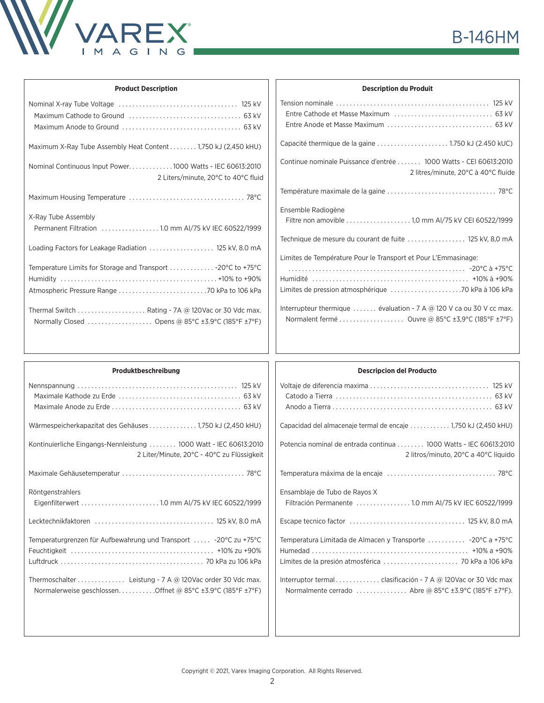

| <b>Product Description</b>                                                                                                                                    |
|---------------------------------------------------------------------------------------------------------------------------------------------------------------|
|                                                                                                                                                               |
| Maximum X-Ray Tube Assembly Heat Content 1,750 kJ (2,450 kHU)                                                                                                 |
| Nominal Continuous Input Power1000 Watts - IEC 60613:2010<br>2 Liters/minute, 20°C to 40°C fluid                                                              |
|                                                                                                                                                               |
| X-Ray Tube Assembly<br>Permanent Filtration  1.0 mm AI/75 kV IEC 60522/1999                                                                                   |
| Loading Factors for Leakage Radiation  125 kV, 8.0 mA                                                                                                         |
| Temperature Limits for Storage and Transport  - 20°C to +75°C                                                                                                 |
| Thermal Switch $\ldots$ , $\ldots$ , $\ldots$ , $\ldots$ , Rating - 7A @ 120Vac or 30 Vdc max.<br>Normally Closed  Opens @ 85°C $\pm$ 3.9°C (185°F $\pm$ 7°F) |

| <b>Description du Produit</b>                                                                                                                |  |  |
|----------------------------------------------------------------------------------------------------------------------------------------------|--|--|
|                                                                                                                                              |  |  |
|                                                                                                                                              |  |  |
| Continue nominale Puissance d'entrée  1000 Watts - CEI 60613:2010<br>2 litres/minute, 20°C à 40°C fluide                                     |  |  |
|                                                                                                                                              |  |  |
| Ensemble Radiogène<br>Filtre non amovible 1.0 mm AI/75 kV CEI 60522/1999                                                                     |  |  |
| Technique de mesure du courant de fuite  125 kV, 8,0 mA                                                                                      |  |  |
| Limites de Température Pour le Transport et Pour L'Emmasinage:                                                                               |  |  |
| Interrupteur thermique  évaluation - 7 A $\circledR$ 120 V ca ou 30 V cc max.<br>Normalent fermé  Ouvre @ 85°C $\pm$ 3,9°C (185°F $\pm$ 7°F) |  |  |

| Produktbeschreibung                                               | <b>Descripcion del Producto</b>                                   |
|-------------------------------------------------------------------|-------------------------------------------------------------------|
|                                                                   |                                                                   |
|                                                                   |                                                                   |
|                                                                   |                                                                   |
| Wärmespeicherkapazitat des Gehäuses 1,750 kJ (2,450 kHU)          | Capacidad del almacenaje termal de encaje  1,750 kJ (2,450 kHU)   |
| Kontinuierliche Eingangs-Nennleistung  1000 Watt - IEC 60613:2010 | Potencia nominal de entrada continua  1000 Watts - IEC 60613:2010 |
| 2 Liter/Minute, 20°C - 40°C zu Flüssigkeit                        | 2 litros/minuto, 20°C a 40°C líquido                              |
|                                                                   |                                                                   |
| Röntgenstrahlers                                                  | Ensamblaje de Tubo de Rayos X                                     |
| Eigenfilterwert  1.0 mm Al/75 kV IEC 60522/1999                   | Filtración Permanente  1.0 mm AI/75 kV IEC 60522/1999             |
|                                                                   |                                                                   |
| Temperaturgrenzen für Aufbewahrung und Transport  -20°C zu +75°C  | Temperatura Limitada de Almacen y Transporte  -20°C a +75°C       |
|                                                                   |                                                                   |
|                                                                   |                                                                   |
| Thermoschalter Leistung - 7 A @ 120Vac order 30 Vdc max.          |                                                                   |
| Normalerweise geschlossenOffnet @ 85°C ±3.9°C (185°F ±7°F)        | Normalmente cerrado  Abre @ 85°C ±3.9°C (185°F ±7°F).             |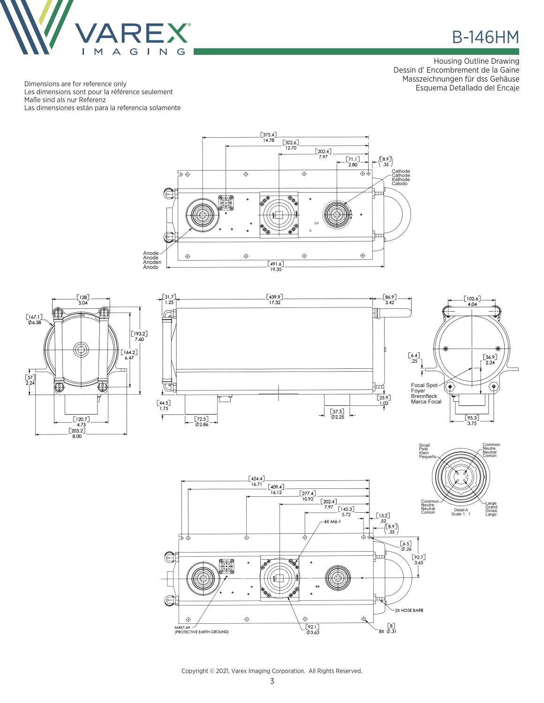

## **B-146HM**

Housing Outline Drawing Dessin d' Encombrement de la Gaine Masszeichnungen für dss Gehäuse Esquema Detallado del Encaje

Dimensions are for reference only Les dimensions sont pour la référence seulement Maße sind als nur Referenz Las dimensiones están para la referencia solamente









Common<br>-Neutre<br>-Neutral<br>-Común

-Large<br>Grand<br>Gross<br>Largo



Copyright © 2021, Varex Imaging Corporation. All Rights Reserved.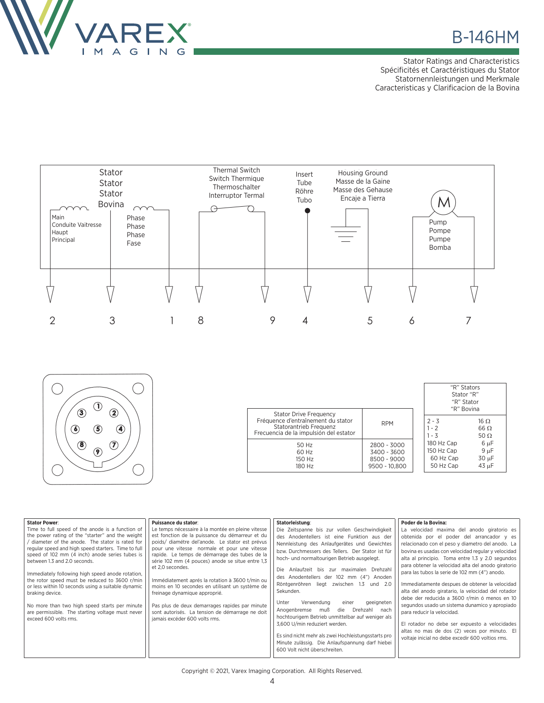

## **B-146HM**

Stator Ratings and Characteristics Spécificités et Caractéristiques du Stator Statornennleistungen und Merkmale Caracteristicas y Clarificacion de la Bovina

"R" Stators





| <b>Stator Drive Frequency</b>          |               |            | Stator "R"<br>"R" Stator<br>"R" Bovina |  |
|----------------------------------------|---------------|------------|----------------------------------------|--|
| Fréquence d'entraînement du stator     | <b>RPM</b>    | $2 - 3$    | $16 \Omega$                            |  |
| Statorantrieb Frequenz                 |               | $1 - 2$    | $66 \Omega$                            |  |
| Frecuencia de la impulsión del estator |               | $1 - 3$    | 50 $\Omega$                            |  |
| 50 Hz                                  | 2800 - 3000   | 180 Hz Cap | $6 \mu F$                              |  |
| 60 Hz                                  | 3400 - 3600   | 150 Hz Cap | $9 \mu F$                              |  |
| 150 Hz                                 | 8500 - 9000   | 60 Hz Cap  | $30 \mu F$                             |  |
| 180 Hz                                 | 9500 - 10.800 | 50 Hz Cap  | 43 µF                                  |  |

| <b>Stator Power:</b><br>Puissance du stator:<br>Time to full speed of the anode is a function of<br>Le temps nécessaire à la montée en pleine vitesse<br>est fonction de la puissance du démarreur et du<br>the power rating of the "starter" and the weight<br>diameter of the anode. The stator is rated for<br>poids/ diamétre del'anode. Le stator est prévus<br>regular speed and high speed starters. Time to full<br>pour une vitesse normale et pour une vitesse<br>rapide. Le temps de démarrage des tubes de la<br>speed of 102 mm (4 inch) anode series tubes is<br>between 1.3 and 2.0 seconds.<br>série 102 mm (4 pouces) anode se situe entre 1,3<br>et 2,0 secondes.<br>Immediately following high speed anode rotation,<br>the rotor speed must be reduced to 3600 r/min<br>Immédiatement aprés la rotation à 3600 t/min ou<br>moins en 10 secondes en utilisant un système de<br>or less within 10 seconds using a suitable dynamic<br>braking device.<br>freinage dynamique approprié.<br>Pas plus de deux demarrages rapides par minute<br>No more than two high speed starts per minute<br>are permissible. The starting voltage must never<br>sont autorisés. La tension de démarrage ne doit<br>exceed 600 volts rms.<br>jamais excéder 600 volts rms. | Statorleistung:<br>Die Zeitspanne bis zur vollen Geschwindigkeit<br>des Anodentellers ist eine Funktion aus der<br>Nennleistung des Anlaufgerätes und Gewichtes<br>bzw. Durchmessers des Tellers. Der Stator ist für<br>hoch- und normaltourigen Betrieb ausgelegt.<br>Die Anlaufzeit bis zur maximalen Drehzahl<br>des Anodentellers der 102 mm (4") Anoden<br>Röntgenröhren liegt zwischen 1.3 und 2.0<br>Sekunden.<br>Verwendung<br>geeigneten<br>Unter<br>einer<br>Anogenbremse muß<br>Drehzahl<br>nach<br>die<br>hochtourigem Betrieb unmittelbar auf weniger als<br>3.600 U/min reduziert werden.<br>Es sind nicht mehr als zwei Hochleistungsstarts pro<br>Minute zulässig. Die Anlaufspannung darf hiebei<br>600 Volt nicht überschreiten. | Poder de la Bovina:<br>La velocidad maxima del anodo giratorio es<br>obtenida por el poder del arrancador y es<br>relacionado con el peso y diametro del anodo. La<br>bovina es usadas con velocidad regular y velocidad<br>alta al principio. Toma entre 1.3 y 2.0 segundos<br>para obtener la velocidad alta del anodo giratorio<br>para las tubos la serie de 102 mm (4") anodo.<br>Immediatamente despues de obtener la velocidad<br>alta del anodo giratario, la velocidad del rotador<br>debe der reducida a 3600 r/min ó menos en 10<br>segundos usado un sistema dunamico y apropiado<br>para reducir la velocidad.<br>El rotador no debe ser expuesto a velocidades<br>altas no mas de dos (2) veces por minuto. El<br>voltaje inicial no debe excedir 600 voltios rms. |
|------------------------------------------------------------------------------------------------------------------------------------------------------------------------------------------------------------------------------------------------------------------------------------------------------------------------------------------------------------------------------------------------------------------------------------------------------------------------------------------------------------------------------------------------------------------------------------------------------------------------------------------------------------------------------------------------------------------------------------------------------------------------------------------------------------------------------------------------------------------------------------------------------------------------------------------------------------------------------------------------------------------------------------------------------------------------------------------------------------------------------------------------------------------------------------------------------------------------------------------------------------------------------|----------------------------------------------------------------------------------------------------------------------------------------------------------------------------------------------------------------------------------------------------------------------------------------------------------------------------------------------------------------------------------------------------------------------------------------------------------------------------------------------------------------------------------------------------------------------------------------------------------------------------------------------------------------------------------------------------------------------------------------------------|----------------------------------------------------------------------------------------------------------------------------------------------------------------------------------------------------------------------------------------------------------------------------------------------------------------------------------------------------------------------------------------------------------------------------------------------------------------------------------------------------------------------------------------------------------------------------------------------------------------------------------------------------------------------------------------------------------------------------------------------------------------------------------|
|------------------------------------------------------------------------------------------------------------------------------------------------------------------------------------------------------------------------------------------------------------------------------------------------------------------------------------------------------------------------------------------------------------------------------------------------------------------------------------------------------------------------------------------------------------------------------------------------------------------------------------------------------------------------------------------------------------------------------------------------------------------------------------------------------------------------------------------------------------------------------------------------------------------------------------------------------------------------------------------------------------------------------------------------------------------------------------------------------------------------------------------------------------------------------------------------------------------------------------------------------------------------------|----------------------------------------------------------------------------------------------------------------------------------------------------------------------------------------------------------------------------------------------------------------------------------------------------------------------------------------------------------------------------------------------------------------------------------------------------------------------------------------------------------------------------------------------------------------------------------------------------------------------------------------------------------------------------------------------------------------------------------------------------|----------------------------------------------------------------------------------------------------------------------------------------------------------------------------------------------------------------------------------------------------------------------------------------------------------------------------------------------------------------------------------------------------------------------------------------------------------------------------------------------------------------------------------------------------------------------------------------------------------------------------------------------------------------------------------------------------------------------------------------------------------------------------------|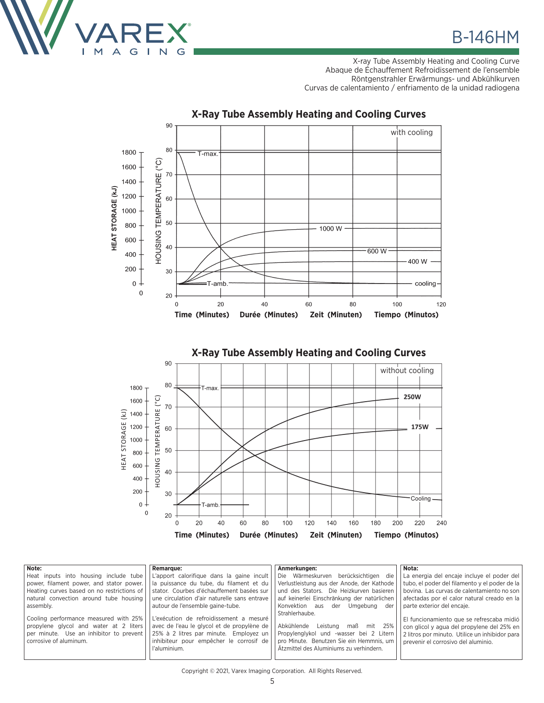

**B-146HM** 

X-ray Tube Assembly Heating and Cooling Curve Abaque de Échauffement Refroidissement de l'ensemble Röntgenstrahler Erwärmungs- und Abkühlkurven Curvas de calentamiento / enfriamento de la unidad radiogena



## **X-Ray Tube Assembly Heating and Cooling Curves**





| Note:                                                                                                                                                | <b>Remarque:</b>                                                                                                                                                                           | Anmerkungen:                                                                                                                                                                                    | Nota:                                                                                                                                                                            |
|------------------------------------------------------------------------------------------------------------------------------------------------------|--------------------------------------------------------------------------------------------------------------------------------------------------------------------------------------------|-------------------------------------------------------------------------------------------------------------------------------------------------------------------------------------------------|----------------------------------------------------------------------------------------------------------------------------------------------------------------------------------|
| Heat inputs into housing include tube                                                                                                                | L'apport calorifique dans la gaine incult                                                                                                                                                  | Die Wärmeskurven berücksichtigen die                                                                                                                                                            | La energia del encaje incluye el poder del                                                                                                                                       |
| power, filament power, and stator power.                                                                                                             | la puissance du tube, du filament et du                                                                                                                                                    | Verlustleistung aus der Anode, der Kathode                                                                                                                                                      | tubo, el poder del filamento y el poder de la                                                                                                                                    |
| Heating curves based on no restrictions of                                                                                                           | stator. Courbes d'échauffement basées sur                                                                                                                                                  | und des Stators. Die Heizkurven basieren                                                                                                                                                        | bovina. Las curvas de calentamiento no son                                                                                                                                       |
| natural convection around tube housing                                                                                                               | une circulation d'air naturelle sans entrave                                                                                                                                               | auf keinerlei Einschränkung der natürlichen                                                                                                                                                     | afectadas por el calor natural creado en la                                                                                                                                      |
| assembly.                                                                                                                                            | autour de l'ensemble gaine-tube.                                                                                                                                                           | Konvektion aus<br>der<br>Umaebuna<br>der                                                                                                                                                        | narte exterior del encaie.                                                                                                                                                       |
| Cooling performance measured with 25%<br>propylene glycol and water at 2 liters<br>per minute. Use an inhibitor to prevent<br>corrosive of aluminum. | L'exécution de refroidissement a mesuré<br>avec de l'eau le givcol et de propylène de<br>25% à 2 litres par minute. Employez un<br>inhibiteur pour empêcher le corrosif de<br>l'aluminium. | Strahlerhaube.<br>Abkühlende<br>Leistung<br>25%<br>maß<br>mit<br>Propylenglykol und -wasser bei 2 Litern<br>pro Minute. Benutzen Sie ein Hemmnis, um<br>Ätzmittel des Aluminiums zu verhindern. | El funcionamiento que se refrescaba midió<br>con glicol y agua del propylene del 25% en<br>2 litros por minuto. Utilice un inhibidor para<br>prevenir el corrosivo del aluminio. |

## Copyright © 2021, Varex Imaging Corporation. All Rights Reserved.